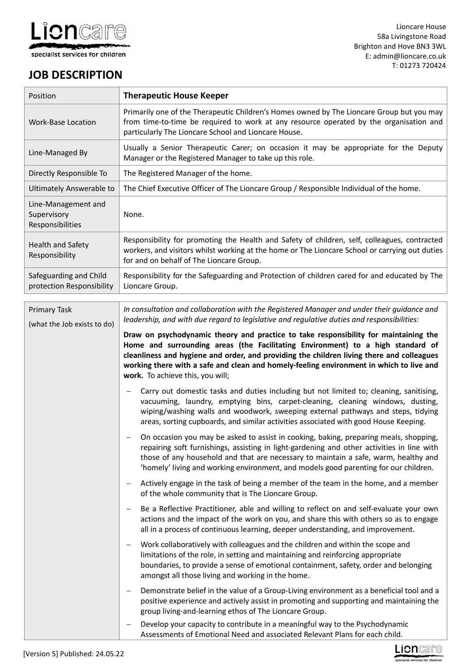

# **JOB DESCRIPTION**

| Position                                               | <b>Therapeutic House Keeper</b>                                                                                                                                                                                                                                                                                                                                                                                                                                                                                                                                                                                                                                                                                                                                                                                                                                                                                                                                                                                                                                                                                                                                                                                                                                                                                                                                                                                                                                                                                                                                                                                                                                                                                                                                                                                                                                                                                                                                                                                                                                                                                                                                                                                                                                                                                                                                                                                                                                |  |  |  |
|--------------------------------------------------------|----------------------------------------------------------------------------------------------------------------------------------------------------------------------------------------------------------------------------------------------------------------------------------------------------------------------------------------------------------------------------------------------------------------------------------------------------------------------------------------------------------------------------------------------------------------------------------------------------------------------------------------------------------------------------------------------------------------------------------------------------------------------------------------------------------------------------------------------------------------------------------------------------------------------------------------------------------------------------------------------------------------------------------------------------------------------------------------------------------------------------------------------------------------------------------------------------------------------------------------------------------------------------------------------------------------------------------------------------------------------------------------------------------------------------------------------------------------------------------------------------------------------------------------------------------------------------------------------------------------------------------------------------------------------------------------------------------------------------------------------------------------------------------------------------------------------------------------------------------------------------------------------------------------------------------------------------------------------------------------------------------------------------------------------------------------------------------------------------------------------------------------------------------------------------------------------------------------------------------------------------------------------------------------------------------------------------------------------------------------------------------------------------------------------------------------------------------------|--|--|--|
| <b>Work-Base Location</b>                              | Primarily one of the Therapeutic Children's Homes owned by The Lioncare Group but you may<br>from time-to-time be required to work at any resource operated by the organisation and<br>particularly The Lioncare School and Lioncare House.                                                                                                                                                                                                                                                                                                                                                                                                                                                                                                                                                                                                                                                                                                                                                                                                                                                                                                                                                                                                                                                                                                                                                                                                                                                                                                                                                                                                                                                                                                                                                                                                                                                                                                                                                                                                                                                                                                                                                                                                                                                                                                                                                                                                                    |  |  |  |
| Line-Managed By                                        | Usually a Senior Therapeutic Carer; on occasion it may be appropriate for the Deputy<br>Manager or the Registered Manager to take up this role.                                                                                                                                                                                                                                                                                                                                                                                                                                                                                                                                                                                                                                                                                                                                                                                                                                                                                                                                                                                                                                                                                                                                                                                                                                                                                                                                                                                                                                                                                                                                                                                                                                                                                                                                                                                                                                                                                                                                                                                                                                                                                                                                                                                                                                                                                                                |  |  |  |
| Directly Responsible To                                | The Registered Manager of the home.                                                                                                                                                                                                                                                                                                                                                                                                                                                                                                                                                                                                                                                                                                                                                                                                                                                                                                                                                                                                                                                                                                                                                                                                                                                                                                                                                                                                                                                                                                                                                                                                                                                                                                                                                                                                                                                                                                                                                                                                                                                                                                                                                                                                                                                                                                                                                                                                                            |  |  |  |
| <b>Ultimately Answerable to</b>                        | The Chief Executive Officer of The Lioncare Group / Responsible Individual of the home.                                                                                                                                                                                                                                                                                                                                                                                                                                                                                                                                                                                                                                                                                                                                                                                                                                                                                                                                                                                                                                                                                                                                                                                                                                                                                                                                                                                                                                                                                                                                                                                                                                                                                                                                                                                                                                                                                                                                                                                                                                                                                                                                                                                                                                                                                                                                                                        |  |  |  |
| Line-Management and<br>Supervisory<br>Responsibilities | None.                                                                                                                                                                                                                                                                                                                                                                                                                                                                                                                                                                                                                                                                                                                                                                                                                                                                                                                                                                                                                                                                                                                                                                                                                                                                                                                                                                                                                                                                                                                                                                                                                                                                                                                                                                                                                                                                                                                                                                                                                                                                                                                                                                                                                                                                                                                                                                                                                                                          |  |  |  |
| Health and Safety<br>Responsibility                    | Responsibility for promoting the Health and Safety of children, self, colleagues, contracted<br>workers, and visitors whilst working at the home or The Lioncare School or carrying out duties<br>for and on behalf of The Lioncare Group.                                                                                                                                                                                                                                                                                                                                                                                                                                                                                                                                                                                                                                                                                                                                                                                                                                                                                                                                                                                                                                                                                                                                                                                                                                                                                                                                                                                                                                                                                                                                                                                                                                                                                                                                                                                                                                                                                                                                                                                                                                                                                                                                                                                                                     |  |  |  |
| Safeguarding and Child<br>protection Responsibility    | Responsibility for the Safeguarding and Protection of children cared for and educated by The<br>Lioncare Group.                                                                                                                                                                                                                                                                                                                                                                                                                                                                                                                                                                                                                                                                                                                                                                                                                                                                                                                                                                                                                                                                                                                                                                                                                                                                                                                                                                                                                                                                                                                                                                                                                                                                                                                                                                                                                                                                                                                                                                                                                                                                                                                                                                                                                                                                                                                                                |  |  |  |
| <b>Primary Task</b><br>(what the Job exists to do)     | In consultation and collaboration with the Registered Manager and under their quidance and<br>leadership, and with due regard to legislative and regulative duties and responsibilities:<br>Draw on psychodynamic theory and practice to take responsibility for maintaining the<br>Home and surrounding areas (the Facilitating Environment) to a high standard of<br>cleanliness and hygiene and order, and providing the children living there and colleagues<br>working there with a safe and clean and homely-feeling environment in which to live and<br>work. To achieve this, you will;<br>Carry out domestic tasks and duties including but not limited to; cleaning, sanitising,<br>vacuuming, laundry, emptying bins, carpet-cleaning, cleaning windows, dusting,<br>wiping/washing walls and woodwork, sweeping external pathways and steps, tidying<br>areas, sorting cupboards, and similar activities associated with good House Keeping.<br>On occasion you may be asked to assist in cooking, baking, preparing meals, shopping,<br>repairing soft furnishings, assisting in light-gardening and other activities in line with<br>those of any household and that are necessary to maintain a safe, warm, healthy and<br>'homely' living and working environment, and models good parenting for our children.<br>Actively engage in the task of being a member of the team in the home, and a member<br>—<br>of the whole community that is The Lioncare Group.<br>Be a Reflective Practitioner, able and willing to reflect on and self-evaluate your own<br>$\qquad \qquad -$<br>actions and the impact of the work on you, and share this with others so as to engage<br>all in a process of continuous learning, deeper understanding, and improvement.<br>Work collaboratively with colleagues and the children and within the scope and<br>$\qquad \qquad -$<br>limitations of the role, in setting and maintaining and reinforcing appropriate<br>boundaries, to provide a sense of emotional containment, safety, order and belonging<br>amongst all those living and working in the home.<br>Demonstrate belief in the value of a Group-Living environment as a beneficial tool and a<br>—<br>positive experience and actively assist in promoting and supporting and maintaining the<br>group living-and-learning ethos of The Lioncare Group.<br>Develop your capacity to contribute in a meaningful way to the Psychodynamic<br>— |  |  |  |
|                                                        | Assessments of Emotional Need and associated Relevant Plans for each child.                                                                                                                                                                                                                                                                                                                                                                                                                                                                                                                                                                                                                                                                                                                                                                                                                                                                                                                                                                                                                                                                                                                                                                                                                                                                                                                                                                                                                                                                                                                                                                                                                                                                                                                                                                                                                                                                                                                                                                                                                                                                                                                                                                                                                                                                                                                                                                                    |  |  |  |

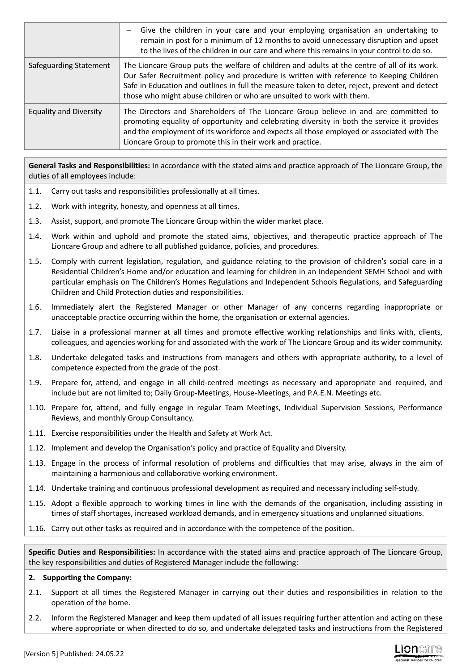|                               | Give the children in your care and your employing organisation an undertaking to<br>$\overline{\phantom{m}}$<br>remain in post for a minimum of 12 months to avoid unnecessary disruption and upset<br>to the lives of the children in our care and where this remains in your control to do so.                                                                   |
|-------------------------------|--------------------------------------------------------------------------------------------------------------------------------------------------------------------------------------------------------------------------------------------------------------------------------------------------------------------------------------------------------------------|
| Safeguarding Statement        | The Lioncare Group puts the welfare of children and adults at the centre of all of its work.<br>Our Safer Recruitment policy and procedure is written with reference to Keeping Children<br>Safe in Education and outlines in full the measure taken to deter, reject, prevent and detect<br>those who might abuse children or who are unsuited to work with them. |
| <b>Equality and Diversity</b> | The Directors and Shareholders of The Lioncare Group believe in and are committed to<br>promoting equality of opportunity and celebrating diversity in both the service it provides<br>and the employment of its workforce and expects all those employed or associated with The<br>Lioncare Group to promote this in their work and practice.                     |

**General Tasks and Responsibilities:** In accordance with the stated aims and practice approach of The Lioncare Group, the duties of all employees include:

- 1.1. Carry out tasks and responsibilities professionally at all times.
- 1.2. Work with integrity, honesty, and openness at all times.
- 1.3. Assist, support, and promote The Lioncare Group within the wider market place.
- 1.4. Work within and uphold and promote the stated aims, objectives, and therapeutic practice approach of The Lioncare Group and adhere to all published guidance, policies, and procedures.
- 1.5. Comply with current legislation, regulation, and guidance relating to the provision of children's social care in a Residential Children's Home and/or education and learning for children in an Independent SEMH School and with particular emphasis on The Children's Homes Regulations and Independent Schools Regulations, and Safeguarding Children and Child Protection duties and responsibilities.
- 1.6. Immediately alert the Registered Manager or other Manager of any concerns regarding inappropriate or unacceptable practice occurring within the home, the organisation or external agencies.
- 1.7. Liaise in a professional manner at all times and promote effective working relationships and links with, clients, colleagues, and agencies working for and associated with the work of The Lioncare Group and its wider community.
- 1.8. Undertake delegated tasks and instructions from managers and others with appropriate authority, to a level of competence expected from the grade of the post.
- 1.9. Prepare for, attend, and engage in all child-centred meetings as necessary and appropriate and required, and include but are not limited to; Daily Group-Meetings, House-Meetings, and P.A.E.N. Meetings etc.
- 1.10. Prepare for, attend, and fully engage in regular Team Meetings, Individual Supervision Sessions, Performance Reviews, and monthly Group Consultancy.
- 1.11. Exercise responsibilities under the Health and Safety at Work Act.
- 1.12. Implement and develop the Organisation's policy and practice of Equality and Diversity.
- 1.13. Engage in the process of informal resolution of problems and difficulties that may arise, always in the aim of maintaining a harmonious and collaborative working environment.
- 1.14. Undertake training and continuous professional development as required and necessary including self-study.
- 1.15. Adopt a flexible approach to working times in line with the demands of the organisation, including assisting in times of staff shortages, increased workload demands, and in emergency situations and unplanned situations.
- 1.16. Carry out other tasks as required and in accordance with the competence of the position.

**Specific Duties and Responsibilities:** In accordance with the stated aims and practice approach of The Lioncare Group, the key responsibilities and duties of Registered Manager include the following:

#### **2. Supporting the Company:**

- 2.1. Support at all times the Registered Manager in carrying out their duties and responsibilities in relation to the operation of the home.
- 2.2. Inform the Registered Manager and keep them updated of all issues requiring further attention and acting on these where appropriate or when directed to do so, and undertake delegated tasks and instructions from the Registered

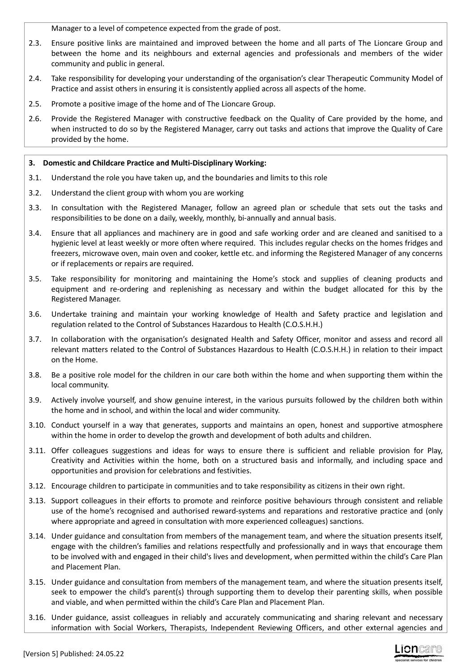Manager to a level of competence expected from the grade of post.

- 2.3. Ensure positive links are maintained and improved between the home and all parts of The Lioncare Group and between the home and its neighbours and external agencies and professionals and members of the wider community and public in general.
- 2.4. Take responsibility for developing your understanding of the organisation's clear Therapeutic Community Model of Practice and assist others in ensuring it is consistently applied across all aspects of the home.
- 2.5. Promote a positive image of the home and of The Lioncare Group.
- 2.6. Provide the Registered Manager with constructive feedback on the Quality of Care provided by the home, and when instructed to do so by the Registered Manager, carry out tasks and actions that improve the Quality of Care provided by the home.

## **3. Domestic and Childcare Practice and Multi-Disciplinary Working:**

- 3.1. Understand the role you have taken up, and the boundaries and limits to this role
- 3.2. Understand the client group with whom you are working
- 3.3. In consultation with the Registered Manager, follow an agreed plan or schedule that sets out the tasks and responsibilities to be done on a daily, weekly, monthly, bi-annually and annual basis.
- 3.4. Ensure that all appliances and machinery are in good and safe working order and are cleaned and sanitised to a hygienic level at least weekly or more often where required. This includes regular checks on the homes fridges and freezers, microwave oven, main oven and cooker, kettle etc. and informing the Registered Manager of any concerns or if replacements or repairs are required.
- 3.5. Take responsibility for monitoring and maintaining the Home's stock and supplies of cleaning products and equipment and re-ordering and replenishing as necessary and within the budget allocated for this by the Registered Manager.
- 3.6. Undertake training and maintain your working knowledge of Health and Safety practice and legislation and regulation related to the Control of Substances Hazardous to Health (C.O.S.H.H.)
- 3.7. In collaboration with the organisation's designated Health and Safety Officer, monitor and assess and record all relevant matters related to the Control of Substances Hazardous to Health (C.O.S.H.H.) in relation to their impact on the Home.
- 3.8. Be a positive role model for the children in our care both within the home and when supporting them within the local community.
- 3.9. Actively involve yourself, and show genuine interest, in the various pursuits followed by the children both within the home and in school, and within the local and wider community.
- 3.10. Conduct yourself in a way that generates, supports and maintains an open, honest and supportive atmosphere within the home in order to develop the growth and development of both adults and children.
- 3.11. Offer colleagues suggestions and ideas for ways to ensure there is sufficient and reliable provision for Play, Creativity and Activities within the home, both on a structured basis and informally, and including space and opportunities and provision for celebrations and festivities.
- 3.12. Encourage children to participate in communities and to take responsibility as citizens in their own right.
- 3.13. Support colleagues in their efforts to promote and reinforce positive behaviours through consistent and reliable use of the home's recognised and authorised reward-systems and reparations and restorative practice and (only where appropriate and agreed in consultation with more experienced colleagues) sanctions.
- 3.14. Under guidance and consultation from members of the management team, and where the situation presents itself, engage with the children's families and relations respectfully and professionally and in ways that encourage them to be involved with and engaged in their child's lives and development, when permitted within the child's Care Plan and Placement Plan.
- 3.15. Under guidance and consultation from members of the management team, and where the situation presents itself, seek to empower the child's parent(s) through supporting them to develop their parenting skills, when possible and viable, and when permitted within the child's Care Plan and Placement Plan.
- 3.16. Under guidance, assist colleagues in reliably and accurately communicating and sharing relevant and necessary information with Social Workers, Therapists, Independent Reviewing Officers, and other external agencies and

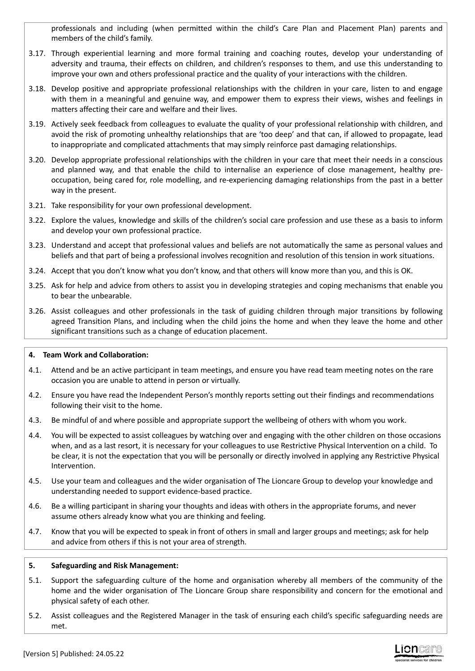professionals and including (when permitted within the child's Care Plan and Placement Plan) parents and members of the child's family.

- 3.17. Through experiential learning and more formal training and coaching routes, develop your understanding of adversity and trauma, their effects on children, and children's responses to them, and use this understanding to improve your own and others professional practice and the quality of your interactions with the children.
- 3.18. Develop positive and appropriate professional relationships with the children in your care, listen to and engage with them in a meaningful and genuine way, and empower them to express their views, wishes and feelings in matters affecting their care and welfare and their lives.
- 3.19. Actively seek feedback from colleagues to evaluate the quality of your professional relationship with children, and avoid the risk of promoting unhealthy relationships that are 'too deep' and that can, if allowed to propagate, lead to inappropriate and complicated attachments that may simply reinforce past damaging relationships.
- 3.20. Develop appropriate professional relationships with the children in your care that meet their needs in a conscious and planned way, and that enable the child to internalise an experience of close management, healthy preoccupation, being cared for, role modelling, and re-experiencing damaging relationships from the past in a better way in the present.
- 3.21. Take responsibility for your own professional development.
- 3.22. Explore the values, knowledge and skills of the children's social care profession and use these as a basis to inform and develop your own professional practice.
- 3.23. Understand and accept that professional values and beliefs are not automatically the same as personal values and beliefs and that part of being a professional involves recognition and resolution of this tension in work situations.
- 3.24. Accept that you don't know what you don't know, and that others will know more than you, and this is OK.
- 3.25. Ask for help and advice from others to assist you in developing strategies and coping mechanisms that enable you to bear the unbearable.
- 3.26. Assist colleagues and other professionals in the task of guiding children through major transitions by following agreed Transition Plans, and including when the child joins the home and when they leave the home and other significant transitions such as a change of education placement.

## **4. Team Work and Collaboration:**

- 4.1. Attend and be an active participant in team meetings, and ensure you have read team meeting notes on the rare occasion you are unable to attend in person or virtually.
- 4.2. Ensure you have read the Independent Person's monthly reports setting out their findings and recommendations following their visit to the home.
- 4.3. Be mindful of and where possible and appropriate support the wellbeing of others with whom you work.
- 4.4. You will be expected to assist colleagues by watching over and engaging with the other children on those occasions when, and as a last resort, it is necessary for your colleagues to use Restrictive Physical Intervention on a child. To be clear, it is not the expectation that you will be personally or directly involved in applying any Restrictive Physical Intervention.
- 4.5. Use your team and colleagues and the wider organisation of The Lioncare Group to develop your knowledge and understanding needed to support evidence-based practice.
- 4.6. Be a willing participant in sharing your thoughts and ideas with others in the appropriate forums, and never assume others already know what you are thinking and feeling.
- 4.7. Know that you will be expected to speak in front of others in small and larger groups and meetings; ask for help and advice from others if this is not your area of strength.

## **5. Safeguarding and Risk Management:**

- 5.1. Support the safeguarding culture of the home and organisation whereby all members of the community of the home and the wider organisation of The Lioncare Group share responsibility and concern for the emotional and physical safety of each other.
- 5.2. Assist colleagues and the Registered Manager in the task of ensuring each child's specific safeguarding needs are met.

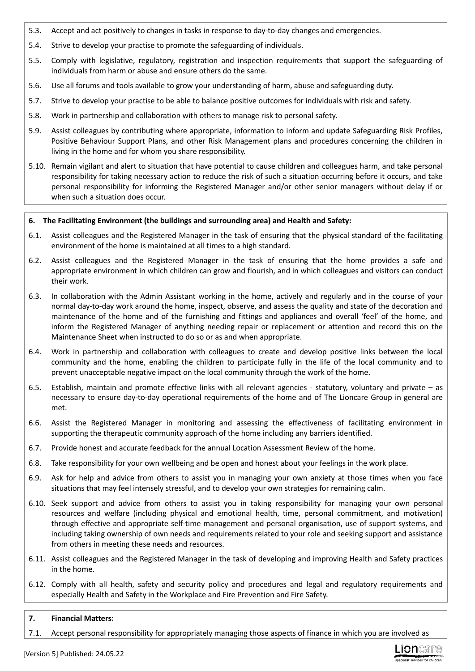- 5.3. Accept and act positively to changes in tasks in response to day-to-day changes and emergencies.
- 5.4. Strive to develop your practise to promote the safeguarding of individuals.
- 5.5. Comply with legislative, regulatory, registration and inspection requirements that support the safeguarding of individuals from harm or abuse and ensure others do the same.
- 5.6. Use all forums and tools available to grow your understanding of harm, abuse and safeguarding duty.
- 5.7. Strive to develop your practise to be able to balance positive outcomes for individuals with risk and safety.
- 5.8. Work in partnership and collaboration with others to manage risk to personal safety.
- 5.9. Assist colleagues by contributing where appropriate, information to inform and update Safeguarding Risk Profiles, Positive Behaviour Support Plans, and other Risk Management plans and procedures concerning the children in living in the home and for whom you share responsibility.
- 5.10. Remain vigilant and alert to situation that have potential to cause children and colleagues harm, and take personal responsibility for taking necessary action to reduce the risk of such a situation occurring before it occurs, and take personal responsibility for informing the Registered Manager and/or other senior managers without delay if or when such a situation does occur.

### **6. The Facilitating Environment (the buildings and surrounding area) and Health and Safety:**

- 6.1. Assist colleagues and the Registered Manager in the task of ensuring that the physical standard of the facilitating environment of the home is maintained at all times to a high standard.
- 6.2. Assist colleagues and the Registered Manager in the task of ensuring that the home provides a safe and appropriate environment in which children can grow and flourish, and in which colleagues and visitors can conduct their work.
- 6.3. In collaboration with the Admin Assistant working in the home, actively and regularly and in the course of your normal day-to-day work around the home, inspect, observe, and assess the quality and state of the decoration and maintenance of the home and of the furnishing and fittings and appliances and overall 'feel' of the home, and inform the Registered Manager of anything needing repair or replacement or attention and record this on the Maintenance Sheet when instructed to do so or as and when appropriate.
- 6.4. Work in partnership and collaboration with colleagues to create and develop positive links between the local community and the home, enabling the children to participate fully in the life of the local community and to prevent unacceptable negative impact on the local community through the work of the home.
- 6.5. Establish, maintain and promote effective links with all relevant agencies statutory, voluntary and private as necessary to ensure day-to-day operational requirements of the home and of The Lioncare Group in general are met.
- 6.6. Assist the Registered Manager in monitoring and assessing the effectiveness of facilitating environment in supporting the therapeutic community approach of the home including any barriers identified.
- 6.7. Provide honest and accurate feedback for the annual Location Assessment Review of the home.
- 6.8. Take responsibility for your own wellbeing and be open and honest about your feelings in the work place.
- 6.9. Ask for help and advice from others to assist you in managing your own anxiety at those times when you face situations that may feel intensely stressful, and to develop your own strategies for remaining calm.
- 6.10. Seek support and advice from others to assist you in taking responsibility for managing your own personal resources and welfare (including physical and emotional health, time, personal commitment, and motivation) through effective and appropriate self-time management and personal organisation, use of support systems, and including taking ownership of own needs and requirements related to your role and seeking support and assistance from others in meeting these needs and resources.
- 6.11. Assist colleagues and the Registered Manager in the task of developing and improving Health and Safety practices in the home.
- 6.12. Comply with all health, safety and security policy and procedures and legal and regulatory requirements and especially Health and Safety in the Workplace and Fire Prevention and Fire Safety.

### **7. Financial Matters:**

7.1. Accept personal responsibility for appropriately managing those aspects of finance in which you are involved as

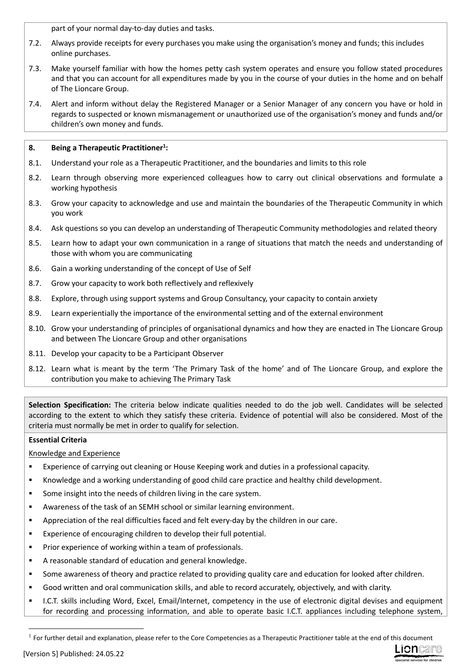part of your normal day-to-day duties and tasks.

- 7.2. Always provide receipts for every purchases you make using the organisation's money and funds; this includes online purchases.
- 7.3. Make yourself familiar with how the homes petty cash system operates and ensure you follow stated procedures and that you can account for all expenditures made by you in the course of your duties in the home and on behalf of The Lioncare Group.
- 7.4. Alert and inform without delay the Registered Manager or a Senior Manager of any concern you have or hold in regards to suspected or known mismanagement or unauthorized use of the organisation's money and funds and/or children's own money and funds.

# **8. Being a Therapeutic Practitioner<sup>1</sup> :**

- 8.1. Understand your role as a Therapeutic Practitioner, and the boundaries and limits to this role
- 8.2. Learn through observing more experienced colleagues how to carry out clinical observations and formulate a working hypothesis
- 8.3. Grow your capacity to acknowledge and use and maintain the boundaries of the Therapeutic Community in which you work
- 8.4. Ask questions so you can develop an understanding of Therapeutic Community methodologies and related theory
- 8.5. Learn how to adapt your own communication in a range of situations that match the needs and understanding of those with whom you are communicating
- 8.6. Gain a working understanding of the concept of Use of Self
- 8.7. Grow your capacity to work both reflectively and reflexively
- 8.8. Explore, through using support systems and Group Consultancy, your capacity to contain anxiety
- 8.9. Learn experientially the importance of the environmental setting and of the external environment
- 8.10. Grow your understanding of principles of organisational dynamics and how they are enacted in The Lioncare Group and between The Lioncare Group and other organisations
- 8.11. Develop your capacity to be a Participant Observer
- 8.12. Learn what is meant by the term 'The Primary Task of the home' and of The Lioncare Group, and explore the contribution you make to achieving The Primary Task

**Selection Specification:** The criteria below indicate qualities needed to do the job well. Candidates will be selected according to the extent to which they satisfy these criteria. Evidence of potential will also be considered. Most of the criteria must normally be met in order to qualify for selection.

# **Essential Criteria**

Knowledge and Experience

- Experience of carrying out cleaning or House Keeping work and duties in a professional capacity.
- Knowledge and a working understanding of good child care practice and healthy child development.
- Some insight into the needs of children living in the care system.
- Awareness of the task of an SEMH school or similar learning environment.
- Appreciation of the real difficulties faced and felt every-day by the children in our care.
- Experience of encouraging children to develop their full potential.
- Prior experience of working within a team of professionals.
- A reasonable standard of education and general knowledge.
- Some awareness of theory and practice related to providing quality care and education for looked after children.
- Good written and oral communication skills, and able to record accurately, objectively, and with clarity.
- I.C.T. skills including Word, Excel, Email/Internet, competency in the use of electronic digital devises and equipment for recording and processing information, and able to operate basic I.C.T. appliances including telephone system,



 $<sup>1</sup>$  For further detail and explanation, please refer to the Core Competencies as a Therapeutic Practitioner table at the end of this document</sup>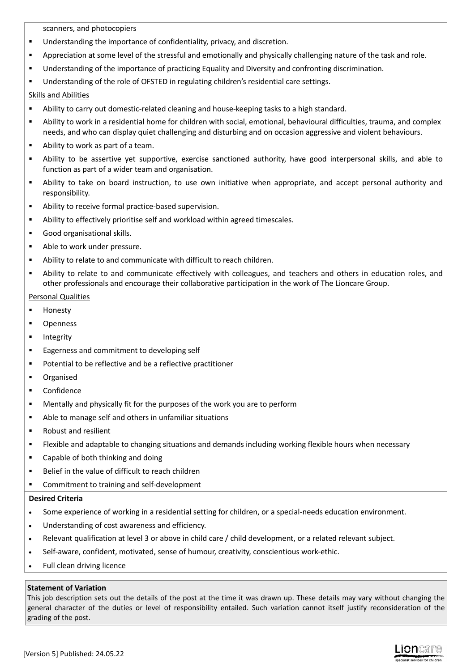scanners, and photocopiers

- **Understanding the importance of confidentiality, privacy, and discretion.**
- Appreciation at some level of the stressful and emotionally and physically challenging nature of the task and role.
- Understanding of the importance of practicing Equality and Diversity and confronting discrimination.
- Understanding of the role of OFSTED in regulating children's residential care settings.

## Skills and Abilities

- Ability to carry out domestic-related cleaning and house-keeping tasks to a high standard.
- Ability to work in a residential home for children with social, emotional, behavioural difficulties, trauma, and complex needs, and who can display quiet challenging and disturbing and on occasion aggressive and violent behaviours.
- Ability to work as part of a team.
- Ability to be assertive yet supportive, exercise sanctioned authority, have good interpersonal skills, and able to function as part of a wider team and organisation.
- Ability to take on board instruction, to use own initiative when appropriate, and accept personal authority and responsibility.
- Ability to receive formal practice-based supervision.
- Ability to effectively prioritise self and workload within agreed timescales.
- Good organisational skills.
- Able to work under pressure.
- Ability to relate to and communicate with difficult to reach children.
- Ability to relate to and communicate effectively with colleagues, and teachers and others in education roles, and other professionals and encourage their collaborative participation in the work of The Lioncare Group.

## Personal Qualities

- **Honesty**
- Openness
- **Integrity**
- Eagerness and commitment to developing self
- **Potential to be reflective and be a reflective practitioner**
- Organised
- Confidence
- Mentally and physically fit for the purposes of the work you are to perform
- Able to manage self and others in unfamiliar situations
- Robust and resilient
- Flexible and adaptable to changing situations and demands including working flexible hours when necessary
- Capable of both thinking and doing
- Belief in the value of difficult to reach children
- Commitment to training and self-development

## **Desired Criteria**

- Some experience of working in a residential setting for children, or a special-needs education environment.
- Understanding of cost awareness and efficiency.
- Relevant qualification at level 3 or above in child care / child development, or a related relevant subject.
- Self-aware, confident, motivated, sense of humour, creativity, conscientious work-ethic.
- Full clean driving licence

## **Statement of Variation**

This job description sets out the details of the post at the time it was drawn up. These details may vary without changing the general character of the duties or level of responsibility entailed. Such variation cannot itself justify reconsideration of the grading of the post.